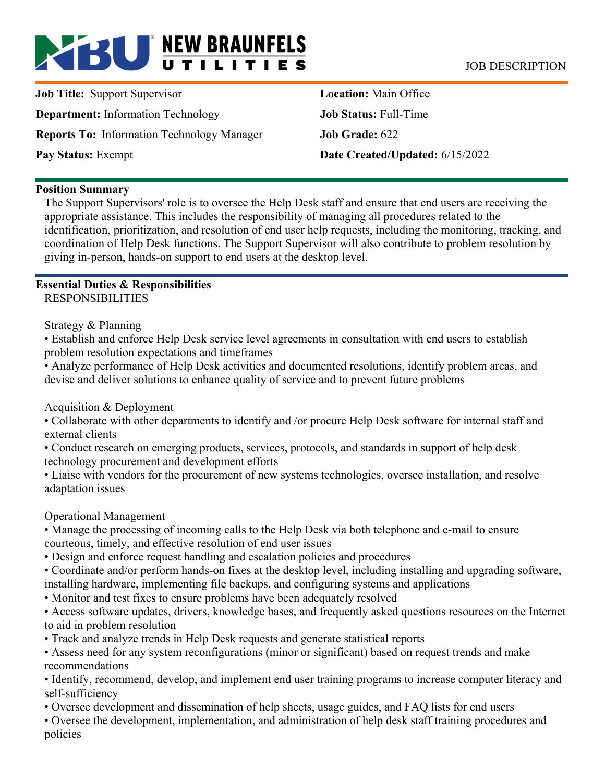# **BU** NEW BRAUNFELS JOB DESCRIPTION

**Job Title:** Support Supervisor **Department:** Information Technology **Reports To:** Information Technology Manager **Pay Status:** Exempt

**Location:** Main Office **Job Status:** Full-Time **Job Grade:** 622 **Date Created/Updated:** 6/15/2022

#### **Position Summary**

The Support Supervisors' role is to oversee the Help Desk staff and ensure that end users are receiving the appropriate assistance. This includes the responsibility of managing all procedures related to the identification, prioritization, and resolution of end user help requests, including the monitoring, tracking, and coordination of Help Desk functions. The Support Supervisor will also contribute to problem resolution by giving in-person, hands-on support to end users at the desktop level.

#### **Essential Duties & Responsibilities**  RESPONSIBILITIES

Strategy & Planning

• Establish and enforce Help Desk service level agreements in consultation with end users to establish problem resolution expectations and timeframes

• Analyze performance of Help Desk activities and documented resolutions, identify problem areas, and devise and deliver solutions to enhance quality of service and to prevent future problems

Acquisition & Deployment

• Collaborate with other departments to identify and /or procure Help Desk software for internal staff and external clients

• Conduct research on emerging products, services, protocols, and standards in support of help desk technology procurement and development efforts

• Liaise with vendors for the procurement of new systems technologies, oversee installation, and resolve adaptation issues

Operational Management

• Manage the processing of incoming calls to the Help Desk via both telephone and e-mail to ensure courteous, timely, and effective resolution of end user issues

• Design and enforce request handling and escalation policies and procedures

• Coordinate and/or perform hands-on fixes at the desktop level, including installing and upgrading software, installing hardware, implementing file backups, and configuring systems and applications

• Monitor and test fixes to ensure problems have been adequately resolved

• Access software updates, drivers, knowledge bases, and frequently asked questions resources on the Internet to aid in problem resolution

• Track and analyze trends in Help Desk requests and generate statistical reports

• Assess need for any system reconfigurations (minor or significant) based on request trends and make recommendations

• Identify, recommend, develop, and implement end user training programs to increase computer literacy and self-sufficiency

• Oversee development and dissemination of help sheets, usage guides, and FAQ lists for end users

• Oversee the development, implementation, and administration of help desk staff training procedures and policies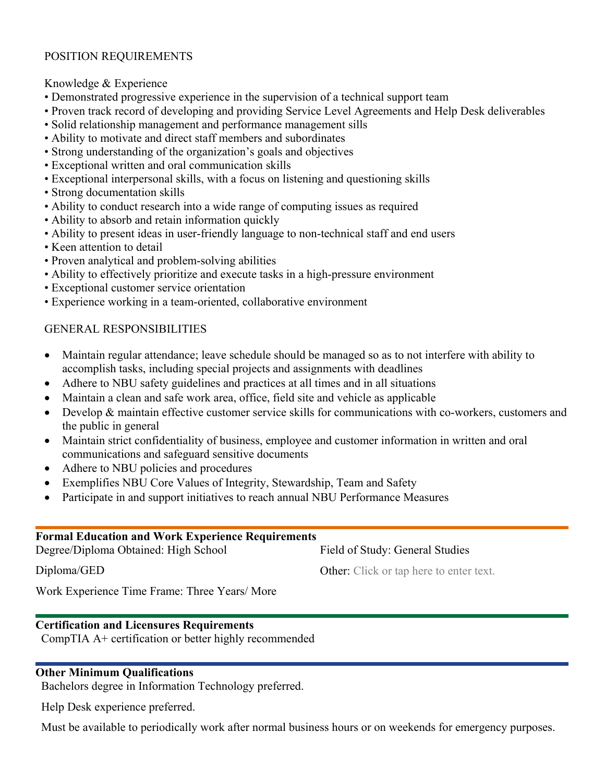# POSITION REQUIREMENTS

#### Knowledge & Experience

- Demonstrated progressive experience in the supervision of a technical support team
- Proven track record of developing and providing Service Level Agreements and Help Desk deliverables
- Solid relationship management and performance management sills
- Ability to motivate and direct staff members and subordinates
- Strong understanding of the organization's goals and objectives
- Exceptional written and oral communication skills
- Exceptional interpersonal skills, with a focus on listening and questioning skills
- Strong documentation skills
- Ability to conduct research into a wide range of computing issues as required
- Ability to absorb and retain information quickly
- Ability to present ideas in user-friendly language to non-technical staff and end users
- Keen attention to detail
- Proven analytical and problem-solving abilities
- Ability to effectively prioritize and execute tasks in a high-pressure environment
- Exceptional customer service orientation
- Experience working in a team-oriented, collaborative environment

# GENERAL RESPONSIBILITIES

- Maintain regular attendance; leave schedule should be managed so as to not interfere with ability to accomplish tasks, including special projects and assignments with deadlines
- Adhere to NBU safety guidelines and practices at all times and in all situations
- Maintain a clean and safe work area, office, field site and vehicle as applicable
- Develop & maintain effective customer service skills for communications with co-workers, customers and the public in general
- Maintain strict confidentiality of business, employee and customer information in written and oral communications and safeguard sensitive documents
- Adhere to NBU policies and procedures
- Exemplifies NBU Core Values of Integrity, Stewardship, Team and Safety
- Participate in and support initiatives to reach annual NBU Performance Measures

#### **Formal Education and Work Experience Requirements**  Degree/Diploma Obtained: High School Diploma/GED Work Experience Time Frame: Three Years/ More Field of Study: General Studies Other: Click or tap here to enter text.

### **Certification and Licensures Requirements**

CompTIA A+ certification or better highly recommended

### **Other Minimum Qualifications**

Bachelors degree in Information Technology preferred.

Help Desk experience preferred.

Must be available to periodically work after normal business hours or on weekends for emergency purposes.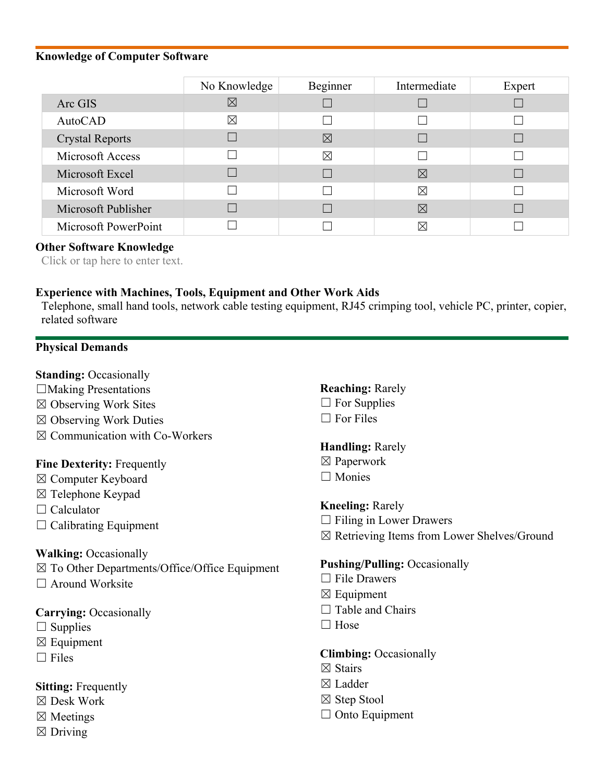#### **Knowledge of Computer Software**

|                        | No Knowledge | Beginner    | Intermediate | Expert |
|------------------------|--------------|-------------|--------------|--------|
| Arc GIS                | $\boxtimes$  |             |              |        |
| AutoCAD                | ⊠            |             |              |        |
| <b>Crystal Reports</b> |              | $\boxtimes$ |              |        |
| Microsoft Access       |              | $\boxtimes$ |              |        |
| Microsoft Excel        |              |             | $\boxtimes$  |        |
| Microsoft Word         |              |             | ⊠            |        |
| Microsoft Publisher    |              |             | $\boxtimes$  |        |
| Microsoft PowerPoint   |              |             | $\boxtimes$  |        |

#### **Other Software Knowledge**

Click or tap here to enter text.

#### **Experience with Machines, Tools, Equipment and Other Work Aids**

Telephone, small hand tools, network cable testing equipment, RJ45 crimping tool, vehicle PC, printer, copier, related software

#### **Physical Demands**

#### **Standing:** Occasionally

- ☐Making Presentations
- ☒ Observing Work Sites
- ☒ Observing Work Duties
- ☒ Communication with Co-Workers

#### **Fine Dexterity:** Frequently

- ☒ Computer Keyboard
- ☒ Telephone Keypad
- □ Calculator
- $\Box$  Calibrating Equipment

#### **Walking:** Occasionally

- ☒ To Other Departments/Office/Office Equipment
- $\Box$  Around Worksite

#### **Carrying:** Occasionally

- $\Box$  Supplies
- $\boxtimes$  Equipment
- $\Box$  Files

### **Sitting:** Frequently

- ☒ Desk Work
- ☒ Meetings
- $\boxtimes$  Driving
- **Reaching:** Rarely
- $\Box$  For Supplies
- $\Box$  For Files

### **Handling:** Rarely

- ☒ Paperwork
- □ Monies

**Kneeling:** Rarely

- $\Box$  Filing in Lower Drawers
- ☒ Retrieving Items from Lower Shelves/Ground

### **Pushing/Pulling:** Occasionally

- $\Box$  File Drawers
- ☒ Equipment
- $\Box$  Table and Chairs
- □ Hose

#### **Climbing:** Occasionally

- ☒ Stairs
- ☒ Ladder
- ☒ Step Stool
- $\Box$  Onto Equipment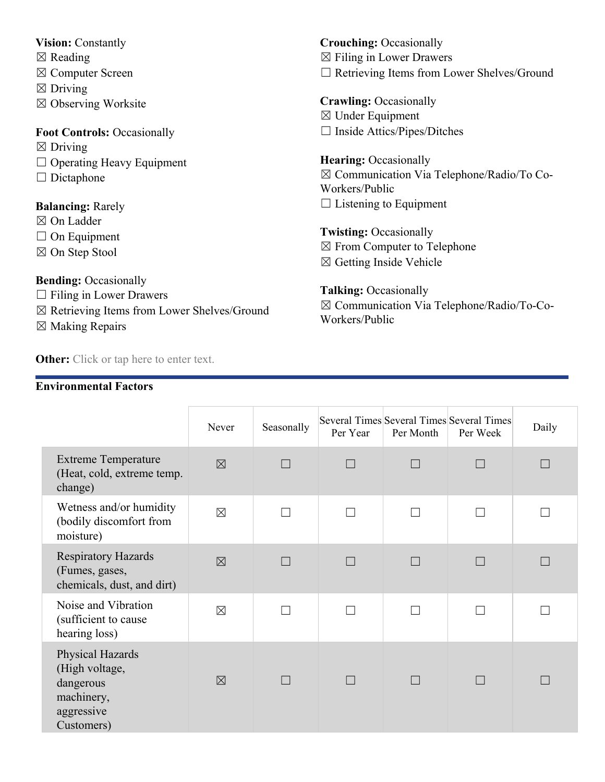### **Vision:** Constantly

- $\boxtimes$  Reading
- ☒ Computer Screen
- $\boxtimes$  Driving
- ☒ Observing Worksite

# **Foot Controls:** Occasionally

- $\boxtimes$  Driving
- ☐ Operating Heavy Equipment
- □ Dictaphone

# **Balancing:** Rarely

- ☒ On Ladder
- □ On Equipment
- ☒ On Step Stool

**Bending:** Occasionally

- $\Box$  Filing in Lower Drawers
- ☒ Retrieving Items from Lower Shelves/Ground
- ☒ Making Repairs

**Other:** Click or tap here to enter text.

# **Environmental Factors**

**Crouching:** Occasionally  $\boxtimes$  Filing in Lower Drawers ☐ Retrieving Items from Lower Shelves/Ground

**Crawling:** Occasionally ☒ Under Equipment ☐ Inside Attics/Pipes/Ditches

**Hearing:** Occasionally ☒ Communication Via Telephone/Radio/To Co-Workers/Public  $\Box$  Listening to Equipment

**Twisting:** Occasionally ☒ From Computer to Telephone  $\boxtimes$  Getting Inside Vehicle

**Talking:** Occasionally ☒ Communication Via Telephone/Radio/To-Co-Workers/Public

|                                                                                           | Never       | Seasonally | Per Year | Per Month | Several Times Several Times Several Times<br>Per Week | Daily |
|-------------------------------------------------------------------------------------------|-------------|------------|----------|-----------|-------------------------------------------------------|-------|
| <b>Extreme Temperature</b><br>(Heat, cold, extreme temp.<br>change)                       | $\boxtimes$ |            |          |           |                                                       |       |
| Wetness and/or humidity<br>(bodily discomfort from<br>moisture)                           | $\boxtimes$ |            |          |           |                                                       |       |
| <b>Respiratory Hazards</b><br>(Fumes, gases,<br>chemicals, dust, and dirt)                | $\boxtimes$ |            | $\Box$   |           |                                                       |       |
| Noise and Vibration<br>(sufficient to cause<br>hearing loss)                              | $\boxtimes$ |            |          |           |                                                       |       |
| Physical Hazards<br>(High voltage,<br>dangerous<br>machinery,<br>aggressive<br>Customers) | $\boxtimes$ |            |          |           |                                                       |       |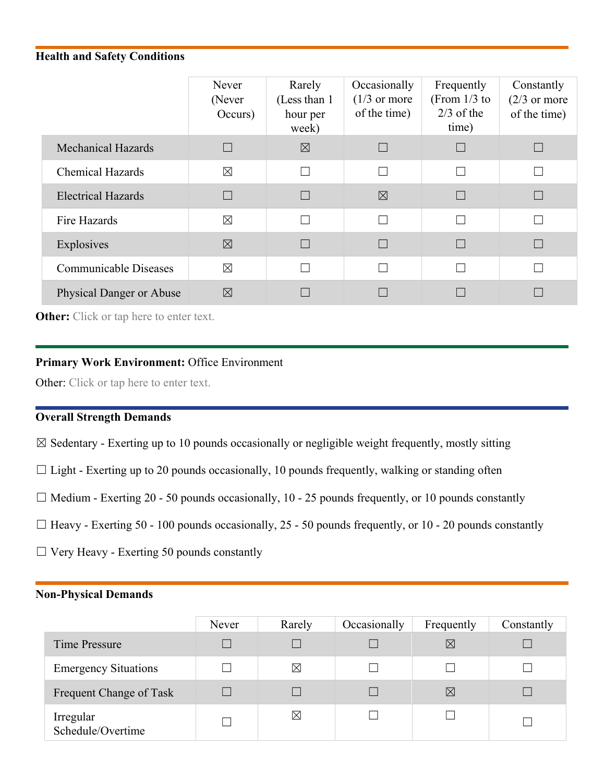# **Health and Safety Conditions**

|                                 | Never<br>(Never<br>Occurs) | Rarely<br>(Less than 1)<br>hour per<br>week) | Occasionally<br>$(1/3 \text{ or more})$<br>of the time) | Frequently<br>(From $1/3$ to<br>$2/3$ of the<br>time) | Constantly<br>$(2/3)$ or more<br>of the time) |
|---------------------------------|----------------------------|----------------------------------------------|---------------------------------------------------------|-------------------------------------------------------|-----------------------------------------------|
| <b>Mechanical Hazards</b>       |                            | $\boxtimes$                                  |                                                         | $\Box$                                                |                                               |
| <b>Chemical Hazards</b>         | $\boxtimes$                |                                              | П                                                       | П                                                     |                                               |
| <b>Electrical Hazards</b>       |                            |                                              | $\boxtimes$                                             | $\Box$                                                |                                               |
| Fire Hazards                    | $\boxtimes$                | $\Box$                                       | П                                                       | $\Box$                                                |                                               |
| Explosives                      | $\boxtimes$                |                                              |                                                         |                                                       |                                               |
| <b>Communicable Diseases</b>    | $\boxtimes$                |                                              | П                                                       |                                                       |                                               |
| <b>Physical Danger or Abuse</b> | $\boxtimes$                |                                              |                                                         |                                                       |                                               |

**Other:** Click or tap here to enter text.

#### **Primary Work Environment:** Office Environment

Other: Click or tap here to enter text.

# **Overall Strength Demands**

 $\boxtimes$  Sedentary - Exerting up to 10 pounds occasionally or negligible weight frequently, mostly sitting

- $\Box$  Light Exerting up to 20 pounds occasionally, 10 pounds frequently, walking or standing often
- $\Box$  Medium Exerting 20 50 pounds occasionally, 10 25 pounds frequently, or 10 pounds constantly
- $\Box$  Heavy Exerting 50 100 pounds occasionally, 25 50 pounds frequently, or 10 20 pounds constantly
- $\Box$  Very Heavy Exerting 50 pounds constantly

#### **Non-Physical Demands**

|                                | Never | Rarely      | Occasionally | Frequently  | Constantly |
|--------------------------------|-------|-------------|--------------|-------------|------------|
| Time Pressure                  |       |             |              | $\ltimes$   |            |
| <b>Emergency Situations</b>    |       | ⊠           |              |             |            |
| Frequent Change of Task        |       |             |              | $\boxtimes$ |            |
| Irregular<br>Schedule/Overtime |       | $\boxtimes$ |              |             |            |